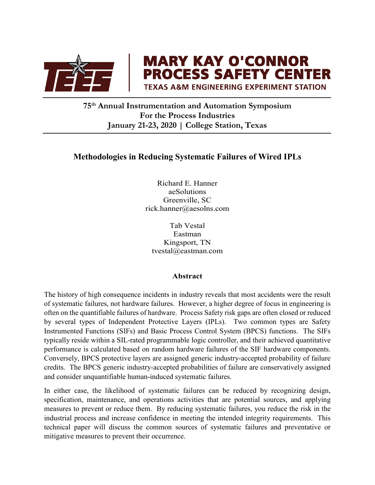

**MARY KAY O'CONNOR<br>PROCESS SAFETY CENTER TEXAS A&M ENGINEERING EXPERIMENT STATION** 

**75th Annual Instrumentation and Automation Symposium For the Process Industries January 21-23, 2020 | College Station, Texas**

# **Methodologies in Reducing Systematic Failures of Wired IPLs**

Richard E. Hanner aeSolutions Greenville, SC rick.hanner@aesolns.com

Tab Vestal Eastman Kingsport, TN tvestal@eastman.com

#### **Abstract**

The history of high consequence incidents in industry reveals that most accidents were the result of systematic failures, not hardware failures. However, a higher degree of focus in engineering is often on the quantifiable failures of hardware. Process Safety risk gaps are often closed or reduced by several types of Independent Protective Layers (IPLs). Two common types are Safety Instrumented Functions (SIFs) and Basic Process Control System (BPCS) functions. The SIFs typically reside within a SIL-rated programmable logic controller, and their achieved quantitative performance is calculated based on random hardware failures of the SIF hardware components. Conversely, BPCS protective layers are assigned generic industry-accepted probability of failure credits. The BPCS generic industry-accepted probabilities of failure are conservatively assigned and consider unquantifiable human-induced systematic failures.

In either case, the likelihood of systematic failures can be reduced by recognizing design, specification, maintenance, and operations activities that are potential sources, and applying measures to prevent or reduce them. By reducing systematic failures, you reduce the risk in the industrial process and increase confidence in meeting the intended integrity requirements. This technical paper will discuss the common sources of systematic failures and preventative or mitigative measures to prevent their occurrence.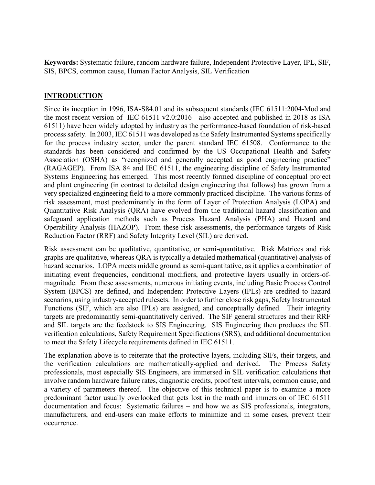**Keywords:** Systematic failure, random hardware failure, Independent Protective Layer, IPL, SIF, SIS, BPCS, common cause, Human Factor Analysis, SIL Verification

### **INTRODUCTION**

Since its inception in 1996, ISA-S84.01 and its subsequent standards (IEC 61511:2004-Mod and the most recent version of IEC 61511 v2.0:2016 - also accepted and published in 2018 as ISA 61511) have been widely adopted by industry as the performance-based foundation of risk-based process safety. In 2003, IEC 61511 was developed as the Safety Instrumented Systems specifically for the process industry sector, under the parent standard IEC 61508. Conformance to the standards has been considered and confirmed by the US Occupational Health and Safety Association (OSHA) as "recognized and generally accepted as good engineering practice" (RAGAGEP). From ISA 84 and IEC 61511, the engineering discipline of Safety Instrumented Systems Engineering has emerged. This most recently formed discipline of conceptual project and plant engineering (in contrast to detailed design engineering that follows) has grown from a very specialized engineering field to a more commonly practiced discipline. The various forms of risk assessment, most predominantly in the form of Layer of Protection Analysis (LOPA) and Quantitative Risk Analysis (QRA) have evolved from the traditional hazard classification and safeguard application methods such as Process Hazard Analysis (PHA) and Hazard and Operability Analysis (HAZOP). From these risk assessments, the performance targets of Risk Reduction Factor (RRF) and Safety Integrity Level (SIL) are derived.

Risk assessment can be qualitative, quantitative, or semi-quantitative. Risk Matrices and risk graphs are qualitative, whereas QRA is typically a detailed mathematical (quantitative) analysis of hazard scenarios. LOPA meets middle ground as semi-quantitative, as it applies a combination of initiating event frequencies, conditional modifiers, and protective layers usually in orders-ofmagnitude. From these assessments, numerous initiating events, including Basic Process Control System (BPCS) are defined, and Independent Protective Layers (IPLs) are credited to hazard scenarios, using industry-accepted rulesets. In order to further close risk gaps, Safety Instrumented Functions (SIF, which are also IPLs) are assigned, and conceptually defined. Their integrity targets are predominantly semi-quantitatively derived. The SIF general structures and their RRF and SIL targets are the feedstock to SIS Engineering. SIS Engineering then produces the SIL verification calculations, Safety Requirement Specifications (SRS), and additional documentation to meet the Safety Lifecycle requirements defined in IEC 61511.

The explanation above is to reiterate that the protective layers, including SIFs, their targets, and the verification calculations are mathematically-applied and derived. The Process Safety professionals, most especially SIS Engineers, are immersed in SIL verification calculations that involve random hardware failure rates, diagnostic credits, proof test intervals, common cause, and a variety of parameters thereof. The objective of this technical paper is to examine a more predominant factor usually overlooked that gets lost in the math and immersion of IEC 61511 documentation and focus: Systematic failures – and how we as SIS professionals, integrators, manufacturers, and end-users can make efforts to minimize and in some cases, prevent their occurrence.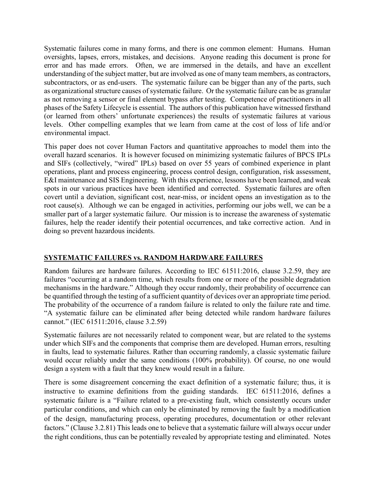Systematic failures come in many forms, and there is one common element: Humans. Human oversights, lapses, errors, mistakes, and decisions. Anyone reading this document is prone for error and has made errors. Often, we are immersed in the details, and have an excellent understanding of the subject matter, but are involved as one of many team members, as contractors, subcontractors, or as end-users. The systematic failure can be bigger than any of the parts, such as organizational structure causes of systematic failure. Or the systematic failure can be as granular as not removing a sensor or final element bypass after testing. Competence of practitioners in all phases of the Safety Lifecycle is essential. The authors of this publication have witnessed firsthand (or learned from others' unfortunate experiences) the results of systematic failures at various levels. Other compelling examples that we learn from came at the cost of loss of life and/or environmental impact.

This paper does not cover Human Factors and quantitative approaches to model them into the overall hazard scenarios. It is however focused on minimizing systematic failures of BPCS IPLs and SIFs (collectively, "wired" IPLs) based on over 55 years of combined experience in plant operations, plant and process engineering, process control design, configuration, risk assessment, E&I maintenance and SIS Engineering. With this experience, lessons have been learned, and weak spots in our various practices have been identified and corrected. Systematic failures are often covert until a deviation, significant cost, near-miss, or incident opens an investigation as to the root cause(s). Although we can be engaged in activities, performing our jobs well, we can be a smaller part of a larger systematic failure. Our mission is to increase the awareness of systematic failures, help the reader identify their potential occurrences, and take corrective action. And in doing so prevent hazardous incidents.

## **SYSTEMATIC FAILURES vs. RANDOM HARDWARE FAILURES**

Random failures are hardware failures. According to IEC 61511:2016, clause 3.2.59, they are failures "occurring at a random time, which results from one or more of the possible degradation mechanisms in the hardware." Although they occur randomly, their probability of occurrence can be quantified through the testing of a sufficient quantity of devices over an appropriate time period. The probability of the occurrence of a random failure is related to only the failure rate and time. "A systematic failure can be eliminated after being detected while random hardware failures cannot." (IEC 61511:2016, clause 3.2.59)

Systematic failures are not necessarily related to component wear, but are related to the systems under which SIFs and the components that comprise them are developed. Human errors, resulting in faults, lead to systematic failures. Rather than occurring randomly, a classic systematic failure would occur reliably under the same conditions (100% probability). Of course, no one would design a system with a fault that they knew would result in a failure.

There is some disagreement concerning the exact definition of a systematic failure; thus, it is instructive to examine definitions from the guiding standards. IEC 61511:2016, defines a systematic failure is a "Failure related to a pre-existing fault, which consistently occurs under particular conditions, and which can only be eliminated by removing the fault by a modification of the design, manufacturing process, operating procedures, documentation or other relevant factors." (Clause 3.2.81) This leads one to believe that a systematic failure will always occur under the right conditions, thus can be potentially revealed by appropriate testing and eliminated. Notes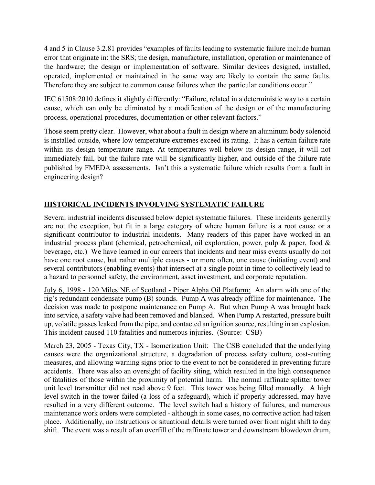4 and 5 in Clause 3.2.81 provides "examples of faults leading to systematic failure include human error that originate in: the SRS; the design, manufacture, installation, operation or maintenance of the hardware; the design or implementation of software. Similar devices designed, installed, operated, implemented or maintained in the same way are likely to contain the same faults. Therefore they are subject to common cause failures when the particular conditions occur."

IEC 61508:2010 defines it slightly differently: "Failure, related in a deterministic way to a certain cause, which can only be eliminated by a modification of the design or of the manufacturing process, operational procedures, documentation or other relevant factors."

Those seem pretty clear. However, what about a fault in design where an aluminum body solenoid is installed outside, where low temperature extremes exceed its rating. It has a certain failure rate within its design temperature range. At temperatures well below its design range, it will not immediately fail, but the failure rate will be significantly higher, and outside of the failure rate published by FMEDA assessments. Isn't this a systematic failure which results from a fault in engineering design?

# **HISTORICAL INCIDENTS INVOLVING SYSTEMATIC FAILURE**

Several industrial incidents discussed below depict systematic failures. These incidents generally are not the exception, but fit in a large category of where human failure is a root cause or a significant contributor to industrial incidents. Many readers of this paper have worked in an industrial process plant (chemical, petrochemical, oil exploration, power, pulp & paper, food & beverage, etc.) We have learned in our careers that incidents and near miss events usually do not have one root cause, but rather multiple causes - or more often, one cause (initiating event) and several contributors (enabling events) that intersect at a single point in time to collectively lead to a hazard to personnel safety, the environment, asset investment, and corporate reputation.

July 6, 1998 - 120 Miles NE of Scotland - Piper Alpha Oil Platform: An alarm with one of the rig's redundant condensate pump (B) sounds. Pump A was already offline for maintenance. The decision was made to postpone maintenance on Pump A. But when Pump A was brought back into service, a safety valve had been removed and blanked. When Pump A restarted, pressure built up, volatile gasses leaked from the pipe, and contacted an ignition source, resulting in an explosion. This incident caused 110 fatalities and numerous injuries. (Source: CSB)

March 23, 2005 - Texas City, TX - Isomerization Unit: The CSB concluded that the underlying causes were the organizational structure, a degradation of process safety culture, cost-cutting measures, and allowing warning signs prior to the event to not be considered in preventing future accidents. There was also an oversight of facility siting, which resulted in the high consequence of fatalities of those within the proximity of potential harm. The normal raffinate splitter tower unit level transmitter did not read above 9 feet. This tower was being filled manually. A high level switch in the tower failed (a loss of a safeguard), which if properly addressed, may have resulted in a very different outcome. The level switch had a history of failures, and numerous maintenance work orders were completed - although in some cases, no corrective action had taken place. Additionally, no instructions or situational details were turned over from night shift to day shift. The event was a result of an overfill of the raffinate tower and downstream blowdown drum,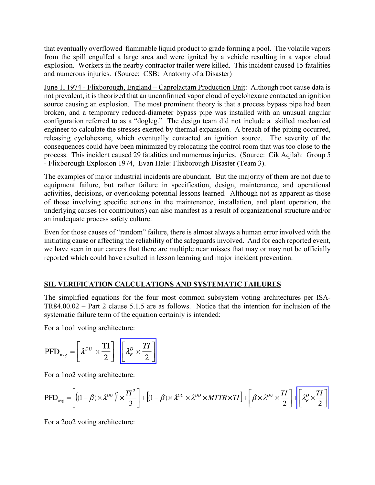that eventually overflowed flammable liquid product to grade forming a pool. The volatile vapors from the spill engulfed a large area and were ignited by a vehicle resulting in a vapor cloud explosion. Workers in the nearby contractor trailer were killed. This incident caused 15 fatalities and numerous injuries. (Source: CSB: Anatomy of a Disaster)

June 1, 1974 - Flixborough, England – Caprolactam Production Unit: Although root cause data is not prevalent, it is theorized that an unconfirmed vapor cloud of cyclohexane contacted an ignition source causing an explosion. The most prominent theory is that a process bypass pipe had been broken, and a temporary reduced-diameter bypass pipe was installed with an unusual angular configuration referred to as a "dogleg." The design team did not include a skilled mechanical engineer to calculate the stresses exerted by thermal expansion. A breach of the piping occurred, releasing cyclohexane, which eventually contacted an ignition source. The severity of the consequences could have been minimized by relocating the control room that was too close to the process. This incident caused 29 fatalities and numerous injuries. (Source: Cik Aqilah: Group 5 - Flixborough Explosion 1974, Evan Hale: Flixborough Disaster (Team 3).

The examples of major industrial incidents are abundant. But the majority of them are not due to equipment failure, but rather failure in specification, design, maintenance, and operational activities, decisions, or overlooking potential lessons learned. Although not as apparent as those of those involving specific actions in the maintenance, installation, and plant operation, the underlying causes (or contributors) can also manifest as a result of organizational structure and/or an inadequate process safety culture.

Even for those causes of "random" failure, there is almost always a human error involved with the initiating cause or affecting the reliability of the safeguards involved. And for each reported event, we have seen in our careers that there are multiple near misses that may or may not be officially reported which could have resulted in lesson learning and major incident prevention.

## **SIL VERIFICATION CALCULATIONS AND SYSTEMATIC FAILURES**

The simplified equations for the four most common subsystem voting architectures per ISA-TR84.00.02 – Part 2 clause 5.1.5 are as follows. Notice that the intention for inclusion of the systematic failure term of the equation certainly is intended:

For a 1oo1 voting architecture:

$$
\text{PFD}_{\text{avg}} = \left[ \lambda^{DU} \times \frac{\text{TI}}{2} \right] + \left[ \lambda_F^D \times \frac{\text{TI}}{2} \right]
$$

For a 1oo2 voting architecture:

$$
PFD_{avg} = \left[ \left( (1 - \beta) \times \lambda^{DU} \right)^2 \times \frac{TI^2}{3} \right] + \left[ (1 - \beta) \times \lambda^{DU} \times \lambda^{DD} \times MTTR \times TI \right] + \left[ \beta \times \lambda^{DU} \times \frac{TI}{2} \right] + \left[ \lambda_r^D \times \frac{TI}{2} \right]
$$

For a 2oo2 voting architecture: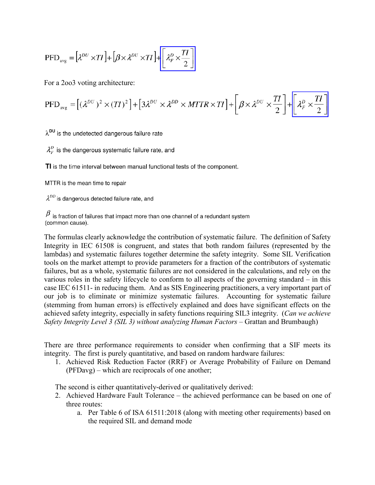$$
PFD_{avg} = \left[\lambda^{DU} \times TI\right] + \left[\beta \times \lambda^{DU} \times TI\right] + \left[\lambda_r^D \times \frac{TI}{2}\right]
$$

For a 2oo3 voting architecture:

$$
PFD_{avg} = [(\lambda^{DU})^2 \times (TI)^2] + [3\lambda^{DU} \times \lambda^{DD} \times MTTR \times TI] + [\beta \times \lambda^{DU} \times \frac{TI}{2}] + [\lambda_F^D \times \frac{TI}{2}]
$$

 $\lambda^{\text{DU}}$  is the undetected dangerous failure rate

 $\lambda_F^D$  is the dangerous systematic failure rate, and

TI is the time interval between manual functional tests of the component.

MTTR is the mean time to repair

 $\lambda^{DD}$  is dangerous detected failure rate, and

 $\beta$  is fraction of failures that impact more than one channel of a redundant system (common cause).

The formulas clearly acknowledge the contribution of systematic failure. The definition of Safety Integrity in IEC 61508 is congruent, and states that both random failures (represented by the lambdas) and systematic failures together determine the safety integrity. Some SIL Verification tools on the market attempt to provide parameters for a fraction of the contributors of systematic failures, but as a whole, systematic failures are not considered in the calculations, and rely on the various roles in the safety lifecycle to conform to all aspects of the governing standard – in this case IEC 61511- in reducing them. And as SIS Engineering practitioners, a very important part of our job is to eliminate or minimize systematic failures. Accounting for systematic failure (stemming from human errors) is effectively explained and does have significant effects on the achieved safety integrity, especially in safety functions requiring SIL3 integrity. (*Can we achieve Safety Integrity Level 3 (SIL 3) without analyzing Human Factors* – Grattan and Brumbaugh)

There are three performance requirements to consider when confirming that a SIF meets its integrity. The first is purely quantitative, and based on random hardware failures:

1. Achieved Risk Reduction Factor (RRF) or Average Probability of Failure on Demand (PFDavg) – which are reciprocals of one another;

The second is either quantitatively-derived or qualitatively derived:

- 2. Achieved Hardware Fault Tolerance the achieved performance can be based on one of three routes:
	- a. Per Table 6 of ISA 61511:2018 (along with meeting other requirements) based on the required SIL and demand mode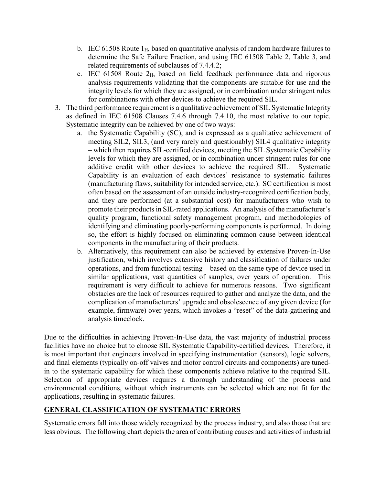- b. IEC 61508 Route  $1_H$ , based on quantitative analysis of random hardware failures to determine the Safe Failure Fraction, and using IEC 61508 Table 2, Table 3, and related requirements of subclauses of 7.4.4.2;
- c. IEC 61508 Route  $2<sub>H</sub>$ , based on field feedback performance data and rigorous analysis requirements validating that the components are suitable for use and the integrity levels for which they are assigned, or in combination under stringent rules for combinations with other devices to achieve the required SIL.
- 3. The third performance requirement is a qualitative achievement of SIL Systematic Integrity as defined in IEC 61508 Clauses 7.4.6 through 7.4.10, the most relative to our topic. Systematic integrity can be achieved by one of two ways:
	- a. the Systematic Capability (SC), and is expressed as a qualitative achievement of meeting SIL2, SIL3, (and very rarely and questionably) SIL4 qualitative integrity – which then requires SIL-certified devices, meeting the SIL Systematic Capability levels for which they are assigned, or in combination under stringent rules for one additive credit with other devices to achieve the required SIL. Systematic Capability is an evaluation of each devices' resistance to systematic failures (manufacturing flaws, suitability for intended service, etc.). SC certification is most often based on the assessment of an outside industry-recognized certification body, and they are performed (at a substantial cost) for manufacturers who wish to promote their products in SIL-rated applications. An analysis of the manufacturer's quality program, functional safety management program, and methodologies of identifying and eliminating poorly-performing components is performed. In doing so, the effort is highly focused on eliminating common cause between identical components in the manufacturing of their products.
	- b. Alternatively, this requirement can also be achieved by extensive Proven-In-Use justification, which involves extensive history and classification of failures under operations, and from functional testing – based on the same type of device used in similar applications, vast quantities of samples, over years of operation. This requirement is very difficult to achieve for numerous reasons. Two significant obstacles are the lack of resources required to gather and analyze the data, and the complication of manufacturers' upgrade and obsolescence of any given device (for example, firmware) over years, which invokes a "reset" of the data-gathering and analysis timeclock.

Due to the difficulties in achieving Proven-In-Use data, the vast majority of industrial process facilities have no choice but to choose SIL Systematic Capability-certified devices. Therefore, it is most important that engineers involved in specifying instrumentation (sensors), logic solvers, and final elements (typically on-off valves and motor control circuits and components) are tunedin to the systematic capability for which these components achieve relative to the required SIL. Selection of appropriate devices requires a thorough understanding of the process and environmental conditions, without which instruments can be selected which are not fit for the applications, resulting in systematic failures.

## **GENERAL CLASSIFICATION OF SYSTEMATIC ERRORS**

Systematic errors fall into those widely recognized by the process industry, and also those that are less obvious. The following chart depicts the area of contributing causes and activities of industrial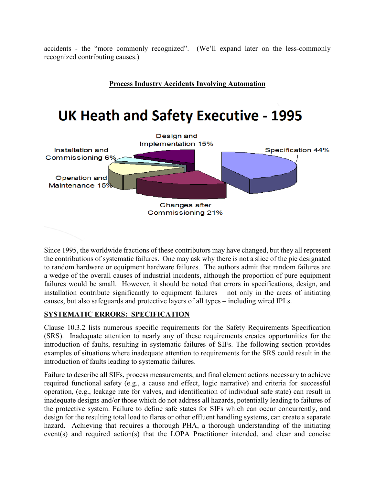accidents - the "more commonly recognized". (We'll expand later on the less-commonly recognized contributing causes.)



Since 1995, the worldwide fractions of these contributors may have changed, but they all represent the contributions of systematic failures. One may ask why there is not a slice of the pie designated to random hardware or equipment hardware failures. The authors admit that random failures are a wedge of the overall causes of industrial incidents, although the proportion of pure equipment failures would be small. However, it should be noted that errors in specifications, design, and installation contribute significantly to equipment failures – not only in the areas of initiating causes, but also safeguards and protective layers of all types – including wired IPLs.

### **SYSTEMATIC ERRORS: SPECIFICATION**

Clause 10.3.2 lists numerous specific requirements for the Safety Requirements Specification (SRS). Inadequate attention to nearly any of these requirements creates opportunities for the introduction of faults, resulting in systematic failures of SIFs. The following section provides examples of situations where inadequate attention to requirements for the SRS could result in the introduction of faults leading to systematic failures.

Failure to describe all SIFs, process measurements, and final element actions necessary to achieve required functional safety (e.g., a cause and effect, logic narrative) and criteria for successful operation, (e.g., leakage rate for valves, and identification of individual safe state) can result in inadequate designs and/or those which do not address all hazards, potentially leading to failures of the protective system. Failure to define safe states for SIFs which can occur concurrently, and design for the resulting total load to flares or other effluent handling systems, can create a separate hazard. Achieving that requires a thorough PHA, a thorough understanding of the initiating event(s) and required action(s) that the LOPA Practitioner intended, and clear and concise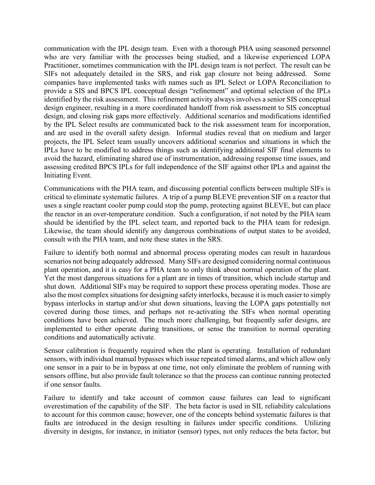communication with the IPL design team. Even with a thorough PHA using seasoned personnel who are very familiar with the processes being studied, and a likewise experienced LOPA Practitioner, sometimes communication with the IPL design team is not perfect. The result can be SIFs not adequately detailed in the SRS, and risk gap closure not being addressed. Some companies have implemented tasks with names such as IPL Select or LOPA Reconciliation to provide a SIS and BPCS IPL conceptual design "refinement" and optimal selection of the IPLs identified by the risk assessment. This refinement activity always involves a senior SIS conceptual design engineer, resulting in a more coordinated handoff from risk assessment to SIS conceptual design, and closing risk gaps more effectively. Additional scenarios and modifications identified by the IPL Select results are communicated back to the risk assessment team for incorporation, and are used in the overall safety design. Informal studies reveal that on medium and larger projects, the IPL Select team usually uncovers additional scenarios and situations in which the IPLs have to be modified to address things such as identifying additional SIF final elements to avoid the hazard, eliminating shared use of instrumentation, addressing response time issues, and assessing credited BPCS IPLs for full independence of the SIF against other IPLs and against the Initiating Event.

Communications with the PHA team, and discussing potential conflicts between multiple SIFs is critical to eliminate systematic failures. A trip of a pump BLEVE prevention SIF on a reactor that uses a single reactant cooler pump could stop the pump, protecting against BLEVE, but can place the reactor in an over-temperature condition. Such a configuration, if not noted by the PHA team should be identified by the IPL select team, and reported back to the PHA team for redesign. Likewise, the team should identify any dangerous combinations of output states to be avoided, consult with the PHA team, and note these states in the SRS.

Failure to identify both normal and abnormal process operating modes can result in hazardous scenarios not being adequately addressed. Many SIFs are designed considering normal continuous plant operation, and it is easy for a PHA team to only think about normal operation of the plant. Yet the most dangerous situations for a plant are in times of transition, which include startup and shut down. Additional SIFs may be required to support these process operating modes. Those are also the most complex situations for designing safety interlocks, because it is much easier to simply bypass interlocks in startup and/or shut down situations, leaving the LOPA gaps potentially not covered during those times, and perhaps not re-activating the SIFs when normal operating conditions have been achieved. The much more challenging, but frequently safer designs, are implemented to either operate during transitions, or sense the transition to normal operating conditions and automatically activate.

Sensor calibration is frequently required when the plant is operating. Installation of redundant sensors, with individual manual bypasses which issue repeated timed alarms, and which allow only one sensor in a pair to be in bypass at one time, not only eliminate the problem of running with sensors offline, but also provide fault tolerance so that the process can continue running protected if one sensor faults.

Failure to identify and take account of common cause failures can lead to significant overestimation of the capability of the SIF. The beta factor is used in SIL reliability calculations to account for this common cause; however, one of the concepts behind systematic failures is that faults are introduced in the design resulting in failures under specific conditions. Utilizing diversity in designs, for instance, in initiator (sensor) types, not only reduces the beta factor, but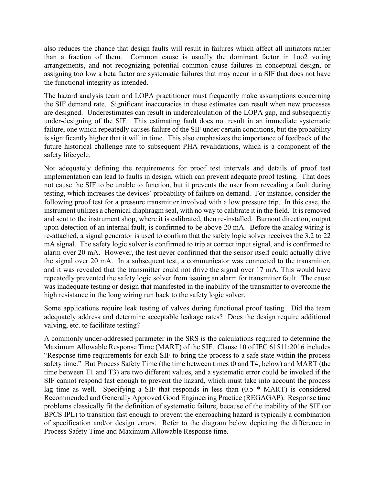also reduces the chance that design faults will result in failures which affect all initiators rather than a fraction of them. Common cause is usually the dominant factor in 1oo2 voting arrangements, and not recognizing potential common cause failures in conceptual design, or assigning too low a beta factor are systematic failures that may occur in a SIF that does not have the functional integrity as intended.

The hazard analysis team and LOPA practitioner must frequently make assumptions concerning the SIF demand rate. Significant inaccuracies in these estimates can result when new processes are designed. Underestimates can result in undercalculation of the LOPA gap, and subsequently under-designing of the SIF. This estimating fault does not result in an immediate systematic failure, one which repeatedly causes failure of the SIF under certain conditions, but the probability is significantly higher that it will in time. This also emphasizes the importance of feedback of the future historical challenge rate to subsequent PHA revalidations, which is a component of the safety lifecycle.

Not adequately defining the requirements for proof test intervals and details of proof test implementation can lead to faults in design, which can prevent adequate proof testing. That does not cause the SIF to be unable to function, but it prevents the user from revealing a fault during testing, which increases the devices' probability of failure on demand. For instance, consider the following proof test for a pressure transmitter involved with a low pressure trip. In this case, the instrument utilizes a chemical diaphragm seal, with no way to calibrate it in the field. It is removed and sent to the instrument shop, where it is calibrated, then re-installed. Burnout direction, output upon detection of an internal fault, is confirmed to be above 20 mA. Before the analog wiring is re-attached, a signal generator is used to confirm that the safety logic solver receives the 3.2 to 22 mA signal. The safety logic solver is confirmed to trip at correct input signal, and is confirmed to alarm over 20 mA. However, the test never confirmed that the sensor itself could actually drive the signal over 20 mA. In a subsequent test, a communicator was connected to the transmitter, and it was revealed that the transmitter could not drive the signal over 17 mA. This would have repeatedly prevented the safety logic solver from issuing an alarm for transmitter fault. The cause was inadequate testing or design that manifested in the inability of the transmitter to overcome the high resistance in the long wiring run back to the safety logic solver.

Some applications require leak testing of valves during functional proof testing. Did the team adequately address and determine acceptable leakage rates? Does the design require additional valving, etc. to facilitate testing?

A commonly under-addressed parameter in the SRS is the calculations required to determine the Maximum Allowable Response Time (MART) of the SIF. Clause 10 of IEC 61511:2016 includes "Response time requirements for each SIF to bring the process to a safe state within the process safety time." But Process Safety Time (the time between times t0 and T4, below) and MART (the time between T1 and T3) are two different values, and a systematic error could be invoked if the SIF cannot respond fast enough to prevent the hazard, which must take into account the process lag time as well. Specifying a SIF that responds in less than (0.5 \* MART) is considered Recommended and Generally Approved Good Engineering Practice (REGAGAP). Response time problems classically fit the definition of systematic failure, because of the inability of the SIF (or BPCS IPL) to transition fast enough to prevent the encroaching hazard is typically a combination of specification and/or design errors. Refer to the diagram below depicting the difference in Process Safety Time and Maximum Allowable Response time.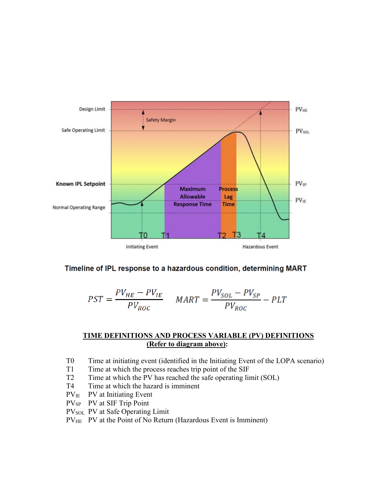

### Timeline of IPL response to a hazardous condition, determining MART

$$
PST = \frac{PV_{HE} - PV_{IE}}{PV_{ROC}} \quad MART = \frac{PV_{SOL} - PV_{SP}}{PV_{ROC}} - PLT
$$

#### **TIME DEFINITIONS AND PROCESS VARIABLE (PV) DEFINITIONS (Refer to diagram above):**

- T0 Time at initiating event (identified in the Initiating Event of the LOPA scenario)
- T1 Time at which the process reaches trip point of the SIF
- T2 Time at which the PV has reached the safe operating limit (SOL)
- T4 Time at which the hazard is imminent
- $PV<sub>IE</sub>$  PV at Initiating Event
- PV<sub>SP</sub> PV at SIF Trip Point
- PV<sub>SOL</sub> PV at Safe Operating Limit
- PV<sub>HE</sub> PV at the Point of No Return (Hazardous Event is Imminent)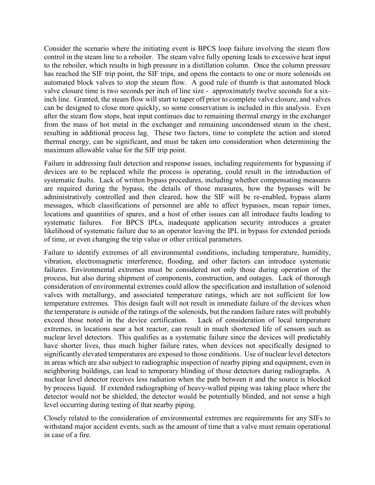Consider the scenario where the initiating event is BPCS loop failure involving the steam flow control in the steam line to a reboiler. The steam valve fully opening leads to excessive heat input to the reboiler, which results in high pressure in a distillation column. Once the column pressure has reached the SIF trip point, the SIF trips, and opens the contacts to one or more solenoids on automated block valves to stop the steam flow. A good rule of thumb is that automated block valve closure time is two seconds per inch of line size - approximately twelve seconds for a sixinch line. Granted, the steam flow will start to taper off prior to complete valve closure, and valves can be designed to close more quickly, so some conservatism is included in this analysis. Even after the steam flow stops, heat input continues due to remaining thermal energy in the exchanger from the mass of hot metal in the exchanger and remaining uncondensed steam in the chest, resulting in additional process lag. These two factors, time to complete the action and stored thermal energy, can be significant, and must be taken into consideration when determining the maximum allowable value for the SIF trip point.

Failure in addressing fault detection and response issues, including requirements for bypassing if devices are to be replaced while the process is operating, could result in the introduction of systematic faults. Lack of written bypass procedures, including whether compensating measures are required during the bypass, the details of those measures, how the bypasses will be administratively controlled and then cleared, how the SIF will be re-enabled, bypass alarm messages, which classifications of personnel are able to affect bypasses, mean repair times, locations and quantities of spares, and a host of other issues can all introduce faults leading to systematic failures. For BPCS IPLs, inadequate application security introduces a greater likelihood of systematic failure due to an operator leaving the IPL in bypass for extended periods of time, or even changing the trip value or other critical parameters.

Failure to identify extremes of all environmental conditions, including temperature, humidity, vibration, electromagnetic interference, flooding, and other factors can introduce systematic failures. Environmental extremes must be considered not only those during operation of the process, but also during shipment of components, construction, and outages. Lack of thorough consideration of environmental extremes could allow the specification and installation of solenoid valves with metallurgy, and associated temperature ratings, which are not sufficient for low temperature extremes. This design fault will not result in immediate failure of the devices when the temperature is outside of the ratings of the solenoids, but the random failure rates will probably exceed those noted in the device certification. Lack of consideration of local temperature extremes, in locations near a hot reactor, can result in much shortened life of sensors such as nuclear level detectors. This qualifies as a systematic failure since the devices will predictably have shorter lives, thus much higher failure rates, when devices not specifically designed to significantly elevated temperatures are exposed to those conditions. Use of nuclear level detectors in areas which are also subject to radiographic inspection of nearby piping and equipment, even in neighboring buildings, can lead to temporary blinding of those detectors during radiographs. A nuclear level detector receives less radiation when the path between it and the source is blocked by process liquid. If extended radiographing of heavy-walled piping was taking place where the detector would not be shielded, the detector would be potentially blinded, and not sense a high level occurring during testing of that nearby piping.

Closely related to the consideration of environmental extremes are requirements for any SIFs to withstand major accident events, such as the amount of time that a valve must remain operational in case of a fire.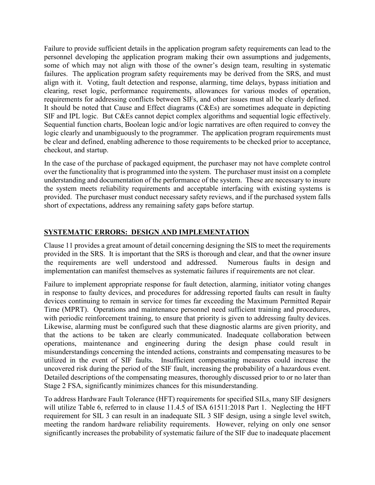Failure to provide sufficient details in the application program safety requirements can lead to the personnel developing the application program making their own assumptions and judgements, some of which may not align with those of the owner's design team, resulting in systematic failures. The application program safety requirements may be derived from the SRS, and must align with it. Voting, fault detection and response, alarming, time delays, bypass initiation and clearing, reset logic, performance requirements, allowances for various modes of operation, requirements for addressing conflicts between SIFs, and other issues must all be clearly defined. It should be noted that Cause and Effect diagrams (C&Es) are sometimes adequate in depicting SIF and IPL logic. But C&Es cannot depict complex algorithms and sequential logic effectively. Sequential function charts, Boolean logic and/or logic narratives are often required to convey the logic clearly and unambiguously to the programmer. The application program requirements must be clear and defined, enabling adherence to those requirements to be checked prior to acceptance, checkout, and startup.

In the case of the purchase of packaged equipment, the purchaser may not have complete control over the functionality that is programmed into the system. The purchaser must insist on a complete understanding and documentation of the performance of the system. These are necessary to insure the system meets reliability requirements and acceptable interfacing with existing systems is provided. The purchaser must conduct necessary safety reviews, and if the purchased system falls short of expectations, address any remaining safety gaps before startup.

## **SYSTEMATIC ERRORS: DESIGN AND IMPLEMENTATION**

Clause 11 provides a great amount of detail concerning designing the SIS to meet the requirements provided in the SRS. It is important that the SRS is thorough and clear, and that the owner insure the requirements are well understood and addressed. Numerous faults in design and implementation can manifest themselves as systematic failures if requirements are not clear.

Failure to implement appropriate response for fault detection, alarming, initiator voting changes in response to faulty devices, and procedures for addressing reported faults can result in faulty devices continuing to remain in service for times far exceeding the Maximum Permitted Repair Time (MPRT). Operations and maintenance personnel need sufficient training and procedures, with periodic reinforcement training, to ensure that priority is given to addressing faulty devices. Likewise, alarming must be configured such that these diagnostic alarms are given priority, and that the actions to be taken are clearly communicated. Inadequate collaboration between operations, maintenance and engineering during the design phase could result in misunderstandings concerning the intended actions, constraints and compensating measures to be utilized in the event of SIF faults. Insufficient compensating measures could increase the uncovered risk during the period of the SIF fault, increasing the probability of a hazardous event. Detailed descriptions of the compensating measures, thoroughly discussed prior to or no later than Stage 2 FSA, significantly minimizes chances for this misunderstanding.

To address Hardware Fault Tolerance (HFT) requirements for specified SILs, many SIF designers will utilize Table 6, referred to in clause 11.4.5 of ISA 61511:2018 Part 1. Neglecting the HFT requirement for SIL 3 can result in an inadequate SIL 3 SIF design, using a single level switch, meeting the random hardware reliability requirements. However, relying on only one sensor significantly increases the probability of systematic failure of the SIF due to inadequate placement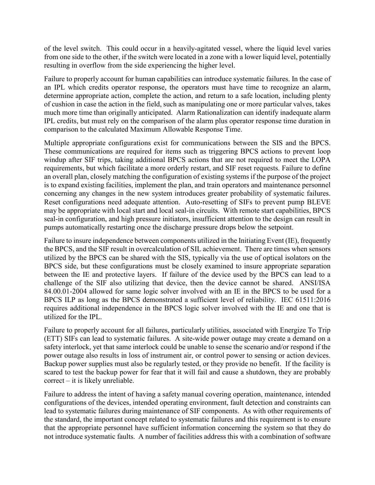of the level switch. This could occur in a heavily-agitated vessel, where the liquid level varies from one side to the other, if the switch were located in a zone with a lower liquid level, potentially resulting in overflow from the side experiencing the higher level.

Failure to properly account for human capabilities can introduce systematic failures. In the case of an IPL which credits operator response, the operators must have time to recognize an alarm, determine appropriate action, complete the action, and return to a safe location, including plenty of cushion in case the action in the field, such as manipulating one or more particular valves, takes much more time than originally anticipated. Alarm Rationalization can identify inadequate alarm IPL credits, but must rely on the comparison of the alarm plus operator response time duration in comparison to the calculated Maximum Allowable Response Time.

Multiple appropriate configurations exist for communications between the SIS and the BPCS. These communications are required for items such as triggering BPCS actions to prevent loop windup after SIF trips, taking additional BPCS actions that are not required to meet the LOPA requirements, but which facilitate a more orderly restart, and SIF reset requests. Failure to define an overall plan, closely matching the configuration of existing systems if the purpose of the project is to expand existing facilities, implement the plan, and train operators and maintenance personnel concerning any changes in the new system introduces greater probability of systematic failures. Reset configurations need adequate attention. Auto-resetting of SIFs to prevent pump BLEVE may be appropriate with local start and local seal-in circuits. With remote start capabilities, BPCS seal-in configuration, and high pressure initiators, insufficient attention to the design can result in pumps automatically restarting once the discharge pressure drops below the setpoint.

Failure to insure independence between components utilized in the Initiating Event (IE), frequently the BPCS, and the SIF result in overcalculation of SIL achievement. There are times when sensors utilized by the BPCS can be shared with the SIS, typically via the use of optical isolators on the BPCS side, but these configurations must be closely examined to insure appropriate separation between the IE and protective layers. If failure of the device used by the BPCS can lead to a challenge of the SIF also utilizing that device, then the device cannot be shared. ANSI/ISA 84.00.01-2004 allowed for same logic solver involved with an IE in the BPCS to be used for a BPCS ILP as long as the BPCS demonstrated a sufficient level of reliability. IEC 61511:2016 requires additional independence in the BPCS logic solver involved with the IE and one that is utilized for the IPL.

Failure to properly account for all failures, particularly utilities, associated with Energize To Trip (ETT) SIFs can lead to systematic failures. A site-wide power outage may create a demand on a safety interlock, yet that same interlock could be unable to sense the scenario and/or respond if the power outage also results in loss of instrument air, or control power to sensing or action devices. Backup power supplies must also be regularly tested, or they provide no benefit. If the facility is scared to test the backup power for fear that it will fail and cause a shutdown, they are probably correct – it is likely unreliable.

Failure to address the intent of having a safety manual covering operation, maintenance, intended configurations of the devices, intended operating environment, fault detection and constraints can lead to systematic failures during maintenance of SIF components. As with other requirements of the standard, the important concept related to systematic failures and this requirement is to ensure that the appropriate personnel have sufficient information concerning the system so that they do not introduce systematic faults. A number of facilities address this with a combination of software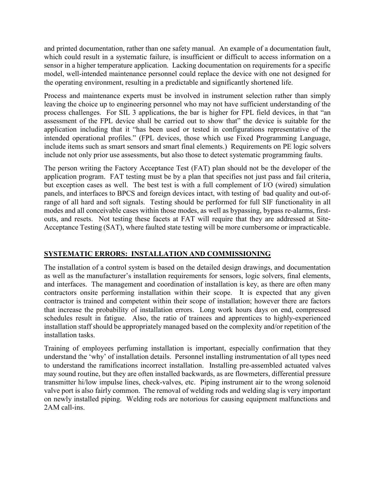and printed documentation, rather than one safety manual. An example of a documentation fault, which could result in a systematic failure, is insufficient or difficult to access information on a sensor in a higher temperature application. Lacking documentation on requirements for a specific model, well-intended maintenance personnel could replace the device with one not designed for the operating environment, resulting in a predictable and significantly shortened life.

Process and maintenance experts must be involved in instrument selection rather than simply leaving the choice up to engineering personnel who may not have sufficient understanding of the process challenges. For SIL 3 applications, the bar is higher for FPL field devices, in that "an assessment of the FPL device shall be carried out to show that" the device is suitable for the application including that it "has been used or tested in configurations representative of the intended operational profiles." (FPL devices, those which use Fixed Programming Language, include items such as smart sensors and smart final elements.) Requirements on PE logic solvers include not only prior use assessments, but also those to detect systematic programming faults.

The person writing the Factory Acceptance Test (FAT) plan should not be the developer of the application program. FAT testing must be by a plan that specifies not just pass and fail criteria, but exception cases as well. The best test is with a full complement of I/O (wired) simulation panels, and interfaces to BPCS and foreign devices intact, with testing of bad quality and out-ofrange of all hard and soft signals. Testing should be performed for full SIF functionality in all modes and all conceivable cases within those modes, as well as bypassing, bypass re-alarms, firstouts, and resets. Not testing these facets at FAT will require that they are addressed at Site-Acceptance Testing (SAT), where faulted state testing will be more cumbersome or impracticable.

## **SYSTEMATIC ERRORS: INSTALLATION AND COMMISSIONING**

The installation of a control system is based on the detailed design drawings, and documentation as well as the manufacturer's installation requirements for sensors, logic solvers, final elements, and interfaces. The management and coordination of installation is key, as there are often many contractors onsite performing installation within their scope. It is expected that any given contractor is trained and competent within their scope of installation; however there are factors that increase the probability of installation errors. Long work hours days on end, compressed schedules result in fatigue. Also, the ratio of trainees and apprentices to highly-experienced installation staff should be appropriately managed based on the complexity and/or repetition of the installation tasks.

Training of employees perfuming installation is important, especially confirmation that they understand the 'why' of installation details. Personnel installing instrumentation of all types need to understand the ramifications incorrect installation. Installing pre-assembled actuated valves may sound routine, but they are often installed backwards, as are flowmeters, differential pressure transmitter hi/low impulse lines, check-valves, etc. Piping instrument air to the wrong solenoid valve port is also fairly common. The removal of welding rods and welding slag is very important on newly installed piping. Welding rods are notorious for causing equipment malfunctions and 2AM call-ins.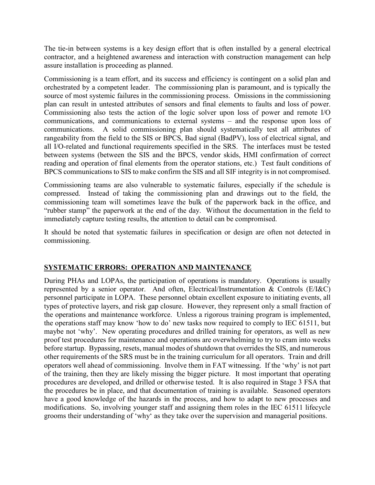The tie-in between systems is a key design effort that is often installed by a general electrical contractor, and a heightened awareness and interaction with construction management can help assure installation is proceeding as planned.

Commissioning is a team effort, and its success and efficiency is contingent on a solid plan and orchestrated by a competent leader. The commissioning plan is paramount, and is typically the source of most systemic failures in the commissioning process. Omissions in the commissioning plan can result in untested attributes of sensors and final elements to faults and loss of power. Commissioning also tests the action of the logic solver upon loss of power and remote I/O communications, and communications to external systems – and the response upon loss of communications. A solid commissioning plan should systematically test all attributes of rangeability from the field to the SIS or BPCS, Bad signal (BadPV), loss of electrical signal, and all I/O-related and functional requirements specified in the SRS. The interfaces must be tested between systems (between the SIS and the BPCS, vendor skids, HMI confirmation of correct reading and operation of final elements from the operator stations, etc.) Test fault conditions of BPCS communications to SIS to make confirm the SIS and all SIF integrity is in not compromised.

Commissioning teams are also vulnerable to systematic failures, especially if the schedule is compressed. Instead of taking the commissioning plan and drawings out to the field, the commissioning team will sometimes leave the bulk of the paperwork back in the office, and "rubber stamp" the paperwork at the end of the day. Without the documentation in the field to immediately capture testing results, the attention to detail can be compromised.

It should be noted that systematic failures in specification or design are often not detected in commissioning.

### **SYSTEMATIC ERRORS: OPERATION AND MAINTENANCE**

During PHAs and LOPAs, the participation of operations is mandatory. Operations is usually represented by a senior operator. And often, Electrical/Instrumentation & Controls (E/I&C) personnel participate in LOPA. These personnel obtain excellent exposure to initiating events, all types of protective layers, and risk gap closure. However, they represent only a small fraction of the operations and maintenance workforce. Unless a rigorous training program is implemented, the operations staff may know 'how to do' new tasks now required to comply to IEC 61511, but maybe not 'why'. New operating procedures and drilled training for operators, as well as new proof test procedures for maintenance and operations are overwhelming to try to cram into weeks before startup. Bypassing, resets, manual modes of shutdown that overrides the SIS, and numerous other requirements of the SRS must be in the training curriculum for all operators. Train and drill operators well ahead of commissioning. Involve them in FAT witnessing. If the 'why' is not part of the training, then they are likely missing the bigger picture. It most important that operating procedures are developed, and drilled or otherwise tested. It is also required in Stage 3 FSA that the procedures be in place, and that documentation of training is available. Seasoned operators have a good knowledge of the hazards in the process, and how to adapt to new processes and modifications. So, involving younger staff and assigning them roles in the IEC 61511 lifecycle grooms their understanding of 'why' as they take over the supervision and managerial positions.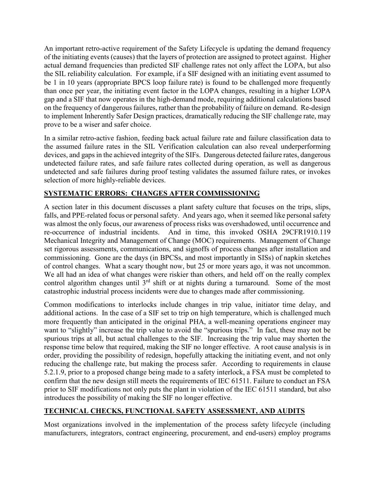An important retro-active requirement of the Safety Lifecycle is updating the demand frequency of the initiating events (causes) that the layers of protection are assigned to protect against. Higher actual demand frequencies than predicted SIF challenge rates not only affect the LOPA, but also the SIL reliability calculation. For example, if a SIF designed with an initiating event assumed to be 1 in 10 years (appropriate BPCS loop failure rate) is found to be challenged more frequently than once per year, the initiating event factor in the LOPA changes, resulting in a higher LOPA gap and a SIF that now operates in the high-demand mode, requiring additional calculations based on the frequency of dangerous failures, rather than the probability of failure on demand. Re-design to implement Inherently Safer Design practices, dramatically reducing the SIF challenge rate, may prove to be a wiser and safer choice.

In a similar retro-active fashion, feeding back actual failure rate and failure classification data to the assumed failure rates in the SIL Verification calculation can also reveal underperforming devices, and gaps in the achieved integrity of the SIFs. Dangerous detected failure rates, dangerous undetected failure rates, and safe failure rates collected during operation, as well as dangerous undetected and safe failures during proof testing validates the assumed failure rates, or invokes selection of more highly-reliable devices.

# **SYSTEMATIC ERRORS: CHANGES AFTER COMMISSIONING**

A section later in this document discusses a plant safety culture that focuses on the trips, slips, falls, and PPE-related focus or personal safety. And years ago, when it seemed like personal safety was almost the only focus, our awareness of process risks was overshadowed, until occurrence and re-occurrence of industrial incidents. And in time, this invoked OSHA 29CFR1910.119 Mechanical Integrity and Management of Change (MOC) requirements. Management of Change set rigorous assessments, communications, and signoffs of process changes after installation and commissioning. Gone are the days (in BPCSs, and most importantly in SISs) of napkin sketches of control changes. What a scary thought now, but 25 or more years ago, it was not uncommon. We all had an idea of what changes were riskier than others, and held off on the really complex control algorithm changes until  $3<sup>rd</sup>$  shift or at nights during a turnaround. Some of the most catastrophic industrial process incidents were due to changes made after commissioning.

Common modifications to interlocks include changes in trip value, initiator time delay, and additional actions. In the case of a SIF set to trip on high temperature, which is challenged much more frequently than anticipated in the original PHA, a well-meaning operations engineer may want to "slightly" increase the trip value to avoid the "spurious trips." In fact, these may not be spurious trips at all, but actual challenges to the SIF. Increasing the trip value may shorten the response time below that required, making the SIF no longer effective. A root cause analysis is in order, providing the possibility of redesign, hopefully attacking the initiating event, and not only reducing the challenge rate, but making the process safer. According to requirements in clause 5.2.1.9, prior to a proposed change being made to a safety interlock, a FSA must be completed to confirm that the new design still meets the requirements of IEC 61511. Failure to conduct an FSA prior to SIF modifications not only puts the plant in violation of the IEC 61511 standard, but also introduces the possibility of making the SIF no longer effective.

# **TECHNICAL CHECKS, FUNCTIONAL SAFETY ASSESSMENT, AND AUDITS**

Most organizations involved in the implementation of the process safety lifecycle (including manufacturers, integrators, contract engineering, procurement, and end-users) employ programs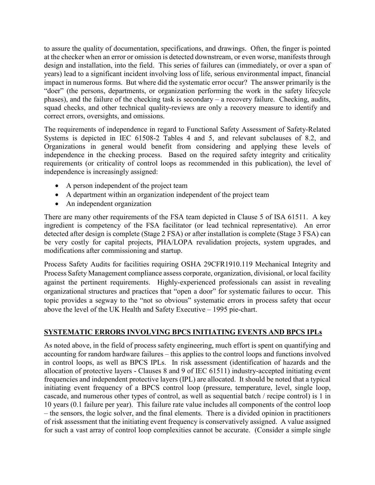to assure the quality of documentation, specifications, and drawings. Often, the finger is pointed at the checker when an error or omission is detected downstream, or even worse, manifests through design and installation, into the field. This series of failures can (immediately, or over a span of years) lead to a significant incident involving loss of life, serious environmental impact, financial impact in numerous forms. But where did the systematic error occur? The answer primarily is the "doer" (the persons, departments, or organization performing the work in the safety lifecycle phases), and the failure of the checking task is secondary – a recovery failure. Checking, audits, squad checks, and other technical quality-reviews are only a recovery measure to identify and correct errors, oversights, and omissions.

The requirements of independence in regard to Functional Safety Assessment of Safety-Related Systems is depicted in IEC 61508-2 Tables 4 and 5, and relevant subclauses of 8.2, and Organizations in general would benefit from considering and applying these levels of independence in the checking process. Based on the required safety integrity and criticality requirements (or criticality of control loops as recommended in this publication), the level of independence is increasingly assigned:

- A person independent of the project team
- A department within an organization independent of the project team
- An independent organization

There are many other requirements of the FSA team depicted in Clause 5 of ISA 61511. A key ingredient is competency of the FSA facilitator (or lead technical representative). An error detected after design is complete (Stage 2 FSA) or after installation is complete (Stage 3 FSA) can be very costly for capital projects, PHA/LOPA revalidation projects, system upgrades, and modifications after commissioning and startup.

Process Safety Audits for facilities requiring OSHA 29CFR1910.119 Mechanical Integrity and Process Safety Management compliance assess corporate, organization, divisional, or local facility against the pertinent requirements. Highly-experienced professionals can assist in revealing organizational structures and practices that "open a door" for systematic failures to occur. This topic provides a segway to the "not so obvious" systematic errors in process safety that occur above the level of the UK Health and Safety Executive – 1995 pie-chart.

## **SYSTEMATIC ERRORS INVOLVING BPCS INITIATING EVENTS AND BPCS IPLs**

As noted above, in the field of process safety engineering, much effort is spent on quantifying and accounting for random hardware failures – this applies to the control loops and functions involved in control loops, as well as BPCS IPLs. In risk assessment (identification of hazards and the allocation of protective layers - Clauses 8 and 9 of IEC 61511) industry-accepted initiating event frequencies and independent protective layers (IPL) are allocated. It should be noted that a typical initiating event frequency of a BPCS control loop (pressure, temperature, level, single loop, cascade, and numerous other types of control, as well as sequential batch / recipe control) is 1 in 10 years (0.1 failure per year). This failure rate value includes all components of the control loop – the sensors, the logic solver, and the final elements. There is a divided opinion in practitioners of risk assessment that the initiating event frequency is conservatively assigned. A value assigned for such a vast array of control loop complexities cannot be accurate. (Consider a simple single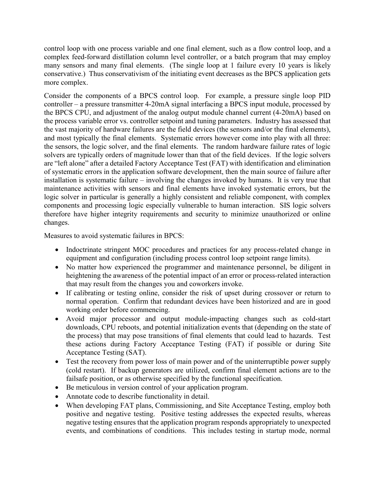control loop with one process variable and one final element, such as a flow control loop, and a complex feed-forward distillation column level controller, or a batch program that may employ many sensors and many final elements. (The single loop at 1 failure every 10 years is likely conservative.) Thus conservativism of the initiating event decreases as the BPCS application gets more complex.

Consider the components of a BPCS control loop. For example, a pressure single loop PID controller – a pressure transmitter 4-20mA signal interfacing a BPCS input module, processed by the BPCS CPU, and adjustment of the analog output module channel current (4-20mA) based on the process variable error vs. controller setpoint and tuning parameters. Industry has assessed that the vast majority of hardware failures are the field devices (the sensors and/or the final elements), and most typically the final elements. Systematic errors however come into play with all three: the sensors, the logic solver, and the final elements. The random hardware failure rates of logic solvers are typically orders of magnitude lower than that of the field devices. If the logic solvers are "left alone" after a detailed Factory Acceptance Test (FAT) with identification and elimination of systematic errors in the application software development, then the main source of failure after installation is systematic failure – involving the changes invoked by humans. It is very true that maintenance activities with sensors and final elements have invoked systematic errors, but the logic solver in particular is generally a highly consistent and reliable component, with complex components and processing logic especially vulnerable to human interaction. SIS logic solvers therefore have higher integrity requirements and security to minimize unauthorized or online changes.

Measures to avoid systematic failures in BPCS:

- Indoctrinate stringent MOC procedures and practices for any process-related change in equipment and configuration (including process control loop setpoint range limits).
- No matter how experienced the programmer and maintenance personnel, be diligent in heightening the awareness of the potential impact of an error or process-related interaction that may result from the changes you and coworkers invoke.
- If calibrating or testing online, consider the risk of upset during crossover or return to normal operation. Confirm that redundant devices have been historized and are in good working order before commencing.
- Avoid major processor and output module-impacting changes such as cold-start downloads, CPU reboots, and potential initialization events that (depending on the state of the process) that may pose transitions of final elements that could lead to hazards. Test these actions during Factory Acceptance Testing (FAT) if possible or during Site Acceptance Testing (SAT).
- Test the recovery from power loss of main power and of the uninterruptible power supply (cold restart). If backup generators are utilized, confirm final element actions are to the failsafe position, or as otherwise specified by the functional specification.
- Be meticulous in version control of your application program.
- Annotate code to describe functionality in detail.
- When developing FAT plans, Commissioning, and Site Acceptance Testing, employ both positive and negative testing. Positive testing addresses the expected results, whereas negative testing ensures that the application program responds appropriately to unexpected events, and combinations of conditions. This includes testing in startup mode, normal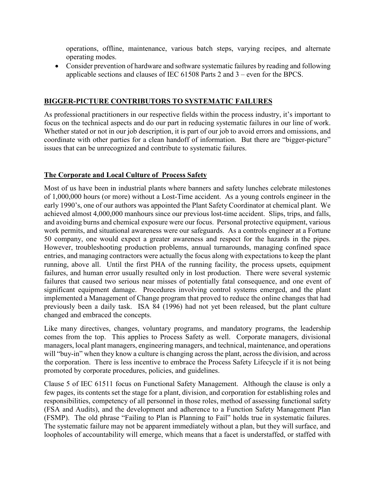operations, offline, maintenance, various batch steps, varying recipes, and alternate operating modes.

• Consider prevention of hardware and software systematic failures by reading and following applicable sections and clauses of IEC 61508 Parts 2 and 3 – even for the BPCS.

### **BIGGER-PICTURE CONTRIBUTORS TO SYSTEMATIC FAILURES**

As professional practitioners in our respective fields within the process industry, it's important to focus on the technical aspects and do our part in reducing systematic failures in our line of work. Whether stated or not in our job description, it is part of our job to avoid errors and omissions, and coordinate with other parties for a clean handoff of information. But there are "bigger-picture" issues that can be unrecognized and contribute to systematic failures.

### **The Corporate and Local Culture of Process Safety**

Most of us have been in industrial plants where banners and safety lunches celebrate milestones of 1,000,000 hours (or more) without a Lost-Time accident. As a young controls engineer in the early 1990's, one of our authors was appointed the Plant Safety Coordinator at chemical plant. We achieved almost 4,000,000 manhours since our previous lost-time accident. Slips, trips, and falls, and avoiding burns and chemical exposure were our focus. Personal protective equipment, various work permits, and situational awareness were our safeguards. As a controls engineer at a Fortune 50 company, one would expect a greater awareness and respect for the hazards in the pipes. However, troubleshooting production problems, annual turnarounds, managing confined space entries, and managing contractors were actually the focus along with expectations to keep the plant running, above all. Until the first PHA of the running facility, the process upsets, equipment failures, and human error usually resulted only in lost production. There were several systemic failures that caused two serious near misses of potentially fatal consequence, and one event of significant equipment damage. Procedures involving control systems emerged, and the plant implemented a Management of Change program that proved to reduce the online changes that had previously been a daily task. ISA 84 (1996) had not yet been released, but the plant culture changed and embraced the concepts.

Like many directives, changes, voluntary programs, and mandatory programs, the leadership comes from the top. This applies to Process Safety as well. Corporate managers, divisional managers, local plant managers, engineering managers, and technical, maintenance, and operations will "buy-in" when they know a culture is changing across the plant, across the division, and across the corporation. There is less incentive to embrace the Process Safety Lifecycle if it is not being promoted by corporate procedures, policies, and guidelines.

Clause 5 of IEC 61511 focus on Functional Safety Management. Although the clause is only a few pages, its contents set the stage for a plant, division, and corporation for establishing roles and responsibilities, competency of all personnel in those roles, method of assessing functional safety (FSA and Audits), and the development and adherence to a Function Safety Management Plan (FSMP). The old phrase "Failing to Plan is Planning to Fail" holds true in systematic failures. The systematic failure may not be apparent immediately without a plan, but they will surface, and loopholes of accountability will emerge, which means that a facet is understaffed, or staffed with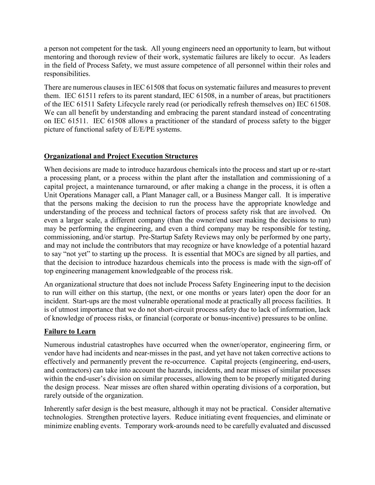a person not competent for the task. All young engineers need an opportunity to learn, but without mentoring and thorough review of their work, systematic failures are likely to occur. As leaders in the field of Process Safety, we must assure competence of all personnel within their roles and responsibilities.

There are numerous clauses in IEC 61508 that focus on systematic failures and measures to prevent them. IEC 61511 refers to its parent standard, IEC 61508, in a number of areas, but practitioners of the IEC 61511 Safety Lifecycle rarely read (or periodically refresh themselves on) IEC 61508. We can all benefit by understanding and embracing the parent standard instead of concentrating on IEC 61511. IEC 61508 allows a practitioner of the standard of process safety to the bigger picture of functional safety of E/E/PE systems.

### **Organizational and Project Execution Structures**

When decisions are made to introduce hazardous chemicals into the process and start up or re-start a processing plant, or a process within the plant after the installation and commissioning of a capital project, a maintenance turnaround, or after making a change in the process, it is often a Unit Operations Manager call, a Plant Manager call, or a Business Manger call. It is imperative that the persons making the decision to run the process have the appropriate knowledge and understanding of the process and technical factors of process safety risk that are involved. On even a larger scale, a different company (than the owner/end user making the decisions to run) may be performing the engineering, and even a third company may be responsible for testing, commissioning, and/or startup. Pre-Startup Safety Reviews may only be performed by one party, and may not include the contributors that may recognize or have knowledge of a potential hazard to say "not yet" to starting up the process. It is essential that MOCs are signed by all parties, and that the decision to introduce hazardous chemicals into the process is made with the sign-off of top engineering management knowledgeable of the process risk.

An organizational structure that does not include Process Safety Engineering input to the decision to run will either on this startup, (the next, or one months or years later) open the door for an incident. Start-ups are the most vulnerable operational mode at practically all process facilities. It is of utmost importance that we do not short-circuit process safety due to lack of information, lack of knowledge of process risks, or financial (corporate or bonus-incentive) pressures to be online.

## **Failure to Learn**

Numerous industrial catastrophes have occurred when the owner/operator, engineering firm, or vendor have had incidents and near-misses in the past, and yet have not taken corrective actions to effectively and permanently prevent the re-occurrence. Capital projects (engineering, end-users, and contractors) can take into account the hazards, incidents, and near misses of similar processes within the end-user's division on similar processes, allowing them to be properly mitigated during the design process. Near misses are often shared within operating divisions of a corporation, but rarely outside of the organization.

Inherently safer design is the best measure, although it may not be practical. Consider alternative technologies. Strengthen protective layers. Reduce initiating event frequencies, and eliminate or minimize enabling events. Temporary work-arounds need to be carefully evaluated and discussed